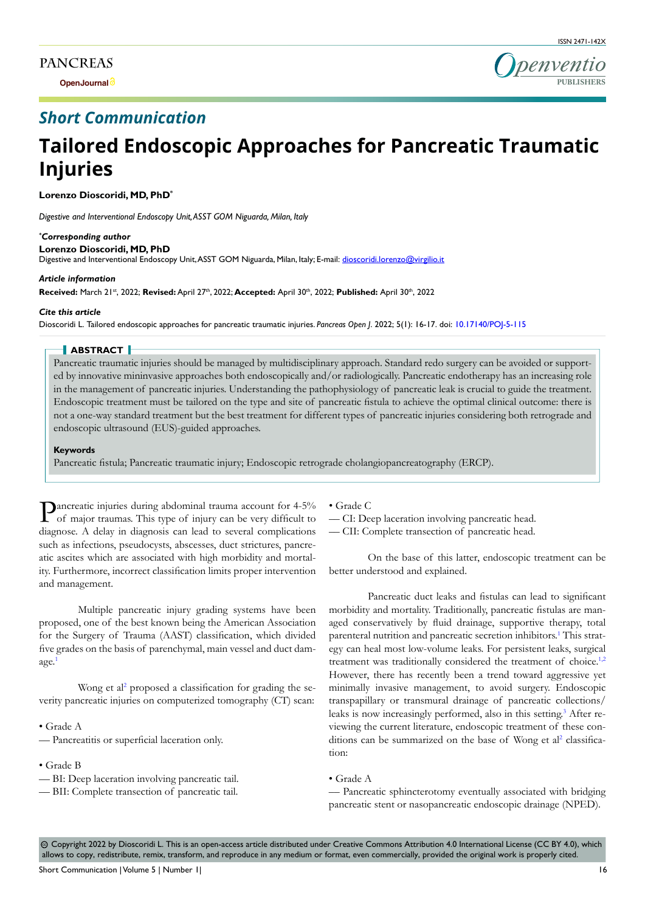### **PANCREAS**

**Open Journal**



## *Short Communication*

# **Tailored Endoscopic Approaches for Pancreatic Traumatic Injuries**

**Lorenzo Dioscoridi, MD, PhD\***

*Digestive and Interventional Endoscopy Unit, ASST GOM Niguarda, Milan, Italy*

*\* Corresponding author* **Lorenzo Dioscoridi, MD, PhD** Digestive and Interventional Endoscopy Unit, ASST GOM Niguarda, Milan, Italy; E-mail: dioscoridi.lorenzo@virgilio.it

#### *Article information*

**Received:** March 21st, 2022; **Revised:** April 27th, 2022; **Accepted:** April 30th, 2022; **Published:** April 30th, 2022

#### *Cite this article*

Dioscoridi L. Tailored endoscopic approaches for pancreatic traumatic injuries. *Pancreas Open J*. 2022; 5(1): 16-17. doi: [10.17140/POJ-5-115](http://dx.doi.org/10.17140/POJ-5-115)

#### **ABSTRACT**

Pancreatic traumatic injuries should be managed by multidisciplinary approach. Standard redo surgery can be avoided or supported by innovative mininvasive approaches both endoscopically and/or radiologically. Pancreatic endotherapy has an increasing role in the management of pancreatic injuries. Understanding the pathophysiology of pancreatic leak is crucial to guide the treatment. Endoscopic treatment must be tailored on the type and site of pancreatic fistula to achieve the optimal clinical outcome: there is not a one-way standard treatment but the best treatment for different types of pancreatic injuries considering both retrograde and endoscopic ultrasound (EUS)-guided approaches.

#### **Keywords**

Pancreatic fistula; Pancreatic traumatic injury; Endoscopic retrograde cholangiopancreatography (ERCP).

Pancreatic injuries during abdominal trauma account for 4-5% of major traumas. This type of injury can be very difficult to diagnose. A delay in diagnosis can lead to several complications such as infections, pseudocysts, abscesses, duct strictures, pancreatic ascites which are associated with high morbidity and mortality. Furthermore, incorrect classification limits proper intervention and management.

Multiple pancreatic injury grading systems have been proposed, one of the best known being the American Association for the Surgery of Trauma (AAST) classification, which divided five grades on the basis of parenchymal, main vessel and duct damage.

Wong et al<sup>2</sup> proposed a classification for grading the severity pancreatic injuries on computerized tomography (CT) scan:

• Grade A

- –– Pancreatitis or superficial laceration only.
- Grade B
- –– BI: Deep laceration involving pancreatic tail.
- –– BII: Complete transection of pancreatic tail.

• Grade C

–– CI: Deep laceration involving pancreatic head.

–– CII: Complete transection of pancreatic head.

On the base of this latter, endoscopic treatment can be better understood and explained.

Pancreatic duct leaks and fistulas can lead to significant morbidity and mortality. Traditionally, pancreatic fistulas are managed conservatively by fluid drainage, supportive therapy, total parenteral nutrition and pancreatic secretion inhibitors.<sup>[1](#page-1-0)</sup> This strategy can heal most low-volume leaks. For persistent leaks, surgical treatment was traditionally considered the treatment of choice.<sup>[1,2](#page-1-0)</sup> However, there has recently been a trend toward aggressive yet minimally invasive management, to avoid surgery. Endoscopic transpapillary or transmural drainage of pancreatic collections/ leaks is now increasingly performed, also in this setting.<sup>[3](#page-1-2)</sup> After reviewing the current literature, endoscopic treatment of these conditions can be summarized on the base of Wong et al<sup>2</sup> classification:

#### • Grade A

–– Pancreatic sphincterotomy eventually associated with bridging pancreatic stent or nasopancreatic endoscopic drainage (NPED).

⊚ Copyright 2022 by Dioscoridi L. This is an open-access article distributed under Creative Commons Attribution 4.0 International License (CC BY 4.0), which allows to copy, redistribute, remix, transform, and reproduce in any medium or format, even commercially, provided the original work is properly cited.

Short Communication | Volume 5 | Number 1| 16